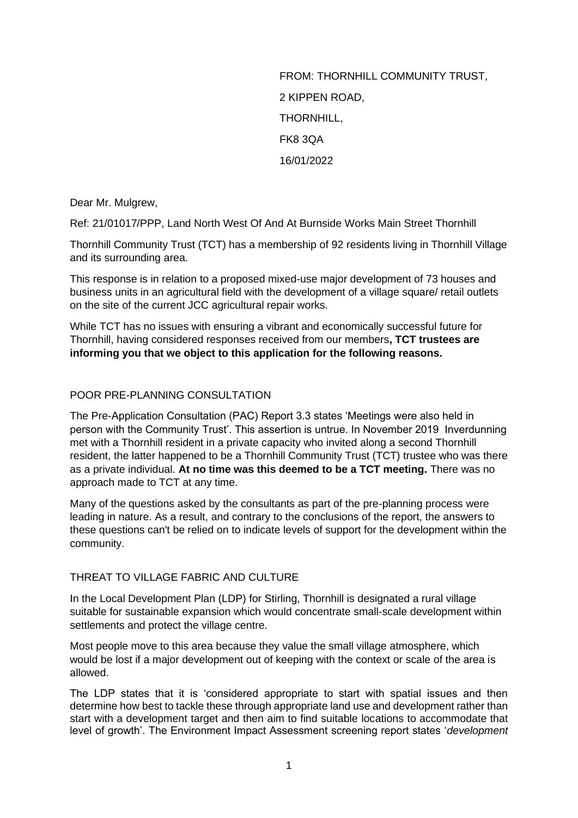FROM: THORNHILL COMMUNITY TRUST, 2 KIPPEN ROAD, THORNHILL, FK8 3QA 16/01/2022

Dear Mr. Mulgrew,

Ref: 21/01017/PPP, Land North West Of And At Burnside Works Main Street Thornhill

Thornhill Community Trust (TCT) has a membership of 92 residents living in Thornhill Village and its surrounding area.

This response is in relation to a proposed mixed-use major development of 73 houses and business units in an agricultural field with the development of a village square/ retail outlets on the site of the current JCC agricultural repair works.

While TCT has no issues with ensuring a vibrant and economically successful future for Thornhill, having considered responses received from our members**, TCT trustees are informing you that we object to this application for the following reasons.**

## POOR PRE-PLANNING CONSULTATION

The Pre-Application Consultation (PAC) Report 3.3 states 'Meetings were also held in person with the Community Trust'. This assertion is untrue. In November 2019 Inverdunning met with a Thornhill resident in a private capacity who invited along a second Thornhill resident, the latter happened to be a Thornhill Community Trust (TCT) trustee who was there as a private individual. **At no time was this deemed to be a TCT meeting.** There was no approach made to TCT at any time.

Many of the questions asked by the consultants as part of the pre-planning process were leading in nature. As a result, and contrary to the conclusions of the report, the answers to these questions can't be relied on to indicate levels of support for the development within the community.

### THREAT TO VILLAGE FABRIC AND CULTURE

In the Local Development Plan (LDP) for Stirling, Thornhill is designated a rural village suitable for sustainable expansion which would concentrate small-scale development within settlements and protect the village centre.

Most people move to this area because they value the small village atmosphere, which would be lost if a major development out of keeping with the context or scale of the area is allowed.

The LDP states that it is 'considered appropriate to start with spatial issues and then determine how best to tackle these through appropriate land use and development rather than start with a development target and then aim to find suitable locations to accommodate that level of growth'. The Environment Impact Assessment screening report states '*development*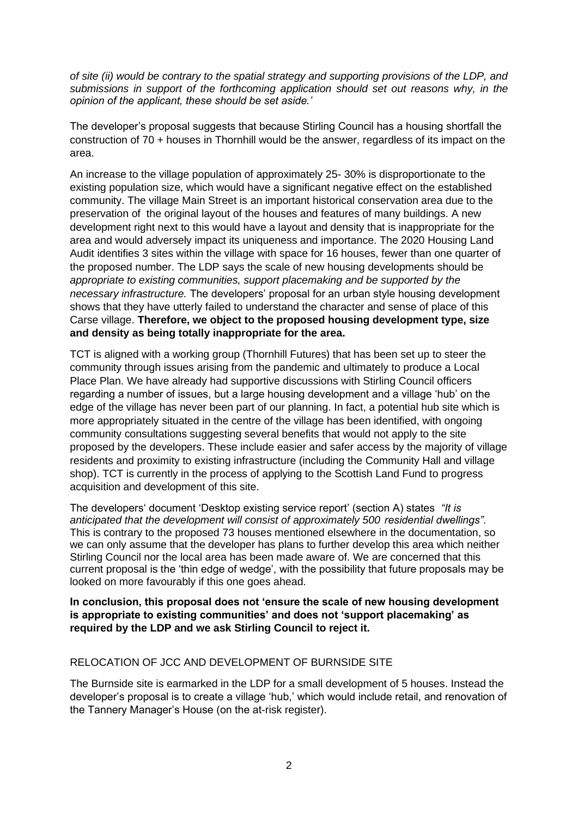*of site (ii) would be contrary to the spatial strategy and supporting provisions of the LDP, and submissions in support of the forthcoming application should set out reasons why, in the opinion of the applicant, these should be set aside.'*

The developer's proposal suggests that because Stirling Council has a housing shortfall the construction of 70 + houses in Thornhill would be the answer, regardless of its impact on the area.

An increase to the village population of approximately 25- 30% is disproportionate to the existing population size, which would have a significant negative effect on the established community. The village Main Street is an important historical conservation area due to the preservation of the original layout of the houses and features of many buildings. A new development right next to this would have a layout and density that is inappropriate for the area and would adversely impact its uniqueness and importance. The 2020 Housing Land Audit identifies 3 sites within the village with space for 16 houses, fewer than one quarter of the proposed number. The LDP says the scale of new housing developments should be *appropriate to existing communities, support placemaking and be supported by the necessary infrastructure.* The developers' proposal for an urban style housing development shows that they have utterly failed to understand the character and sense of place of this Carse village. **Therefore, we object to the proposed housing development type, size and density as being totally inappropriate for the area.**

TCT is aligned with a working group (Thornhill Futures) that has been set up to steer the community through issues arising from the pandemic and ultimately to produce a Local Place Plan. We have already had supportive discussions with Stirling Council officers regarding a number of issues, but a large housing development and a village 'hub' on the edge of the village has never been part of our planning. In fact, a potential hub site which is more appropriately situated in the centre of the village has been identified, with ongoing community consultations suggesting several benefits that would not apply to the site proposed by the developers. These include easier and safer access by the majority of village residents and proximity to existing infrastructure (including the Community Hall and village shop). TCT is currently in the process of applying to the Scottish Land Fund to progress acquisition and development of this site.

The developers' document 'Desktop existing service report' (section A) states *"It is anticipated that the development will consist of approximately 500 residential dwellings".* This is contrary to the proposed 73 houses mentioned elsewhere in the documentation, so we can only assume that the developer has plans to further develop this area which neither Stirling Council nor the local area has been made aware of. We are concerned that this current proposal is the 'thin edge of wedge', with the possibility that future proposals may be looked on more favourably if this one goes ahead.

**In conclusion, this proposal does not 'ensure the scale of new housing development is appropriate to existing communities' and does not 'support placemaking' as required by the LDP and we ask Stirling Council to reject it.**

## RELOCATION OF JCC AND DEVELOPMENT OF BURNSIDE SITE

The Burnside site is earmarked in the LDP for a small development of 5 houses. Instead the developer's proposal is to create a village 'hub,' which would include retail, and renovation of the Tannery Manager's House (on the at-risk register).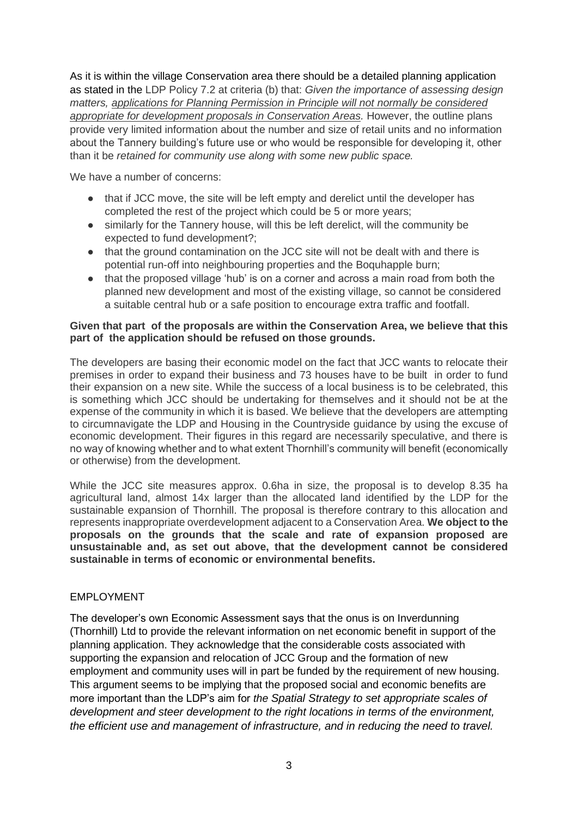As it is within the village Conservation area there should be a detailed planning application as stated in the LDP Policy 7.2 at criteria (b) that: *Given the importance of assessing design matters, applications for Planning Permission in Principle will not normally be considered appropriate for development proposals in Conservation Areas.* However, the outline plans provide very limited information about the number and size of retail units and no information about the Tannery building's future use or who would be responsible for developing it, other than it be *retained for community use along with some new public space.*

We have a number of concerns:

- that if JCC move, the site will be left empty and derelict until the developer has completed the rest of the project which could be 5 or more years;
- similarly for the Tannery house, will this be left derelict, will the community be expected to fund development?;
- that the ground contamination on the JCC site will not be dealt with and there is potential run-off into neighbouring properties and the Boquhapple burn;
- that the proposed village 'hub' is on a corner and across a main road from both the planned new development and most of the existing village, so cannot be considered a suitable central hub or a safe position to encourage extra traffic and footfall.

### **Given that part of the proposals are within the Conservation Area, we believe that this part of the application should be refused on those grounds.**

The developers are basing their economic model on the fact that JCC wants to relocate their premises in order to expand their business and 73 houses have to be built in order to fund their expansion on a new site. While the success of a local business is to be celebrated, this is something which JCC should be undertaking for themselves and it should not be at the expense of the community in which it is based. We believe that the developers are attempting to circumnavigate the LDP and Housing in the Countryside guidance by using the excuse of economic development. Their figures in this regard are necessarily speculative, and there is no way of knowing whether and to what extent Thornhill's community will benefit (economically or otherwise) from the development.

While the JCC site measures approx. 0.6ha in size, the proposal is to develop 8.35 ha agricultural land, almost 14x larger than the allocated land identified by the LDP for the sustainable expansion of Thornhill. The proposal is therefore contrary to this allocation and represents inappropriate overdevelopment adjacent to a Conservation Area. **We object to the proposals on the grounds that the scale and rate of expansion proposed are unsustainable and, as set out above, that the development cannot be considered sustainable in terms of economic or environmental benefits.**

## EMPLOYMENT

The developer's own Economic Assessment says that the onus is on Inverdunning (Thornhill) Ltd to provide the relevant information on net economic benefit in support of the planning application. They acknowledge that the considerable costs associated with supporting the expansion and relocation of JCC Group and the formation of new employment and community uses will in part be funded by the requirement of new housing. This argument seems to be implying that the proposed social and economic benefits are more important than the LDP's aim for *the Spatial Strategy to set appropriate scales of development and steer development to the right locations in terms of the environment, the efficient use and management of infrastructure, and in reducing the need to travel.*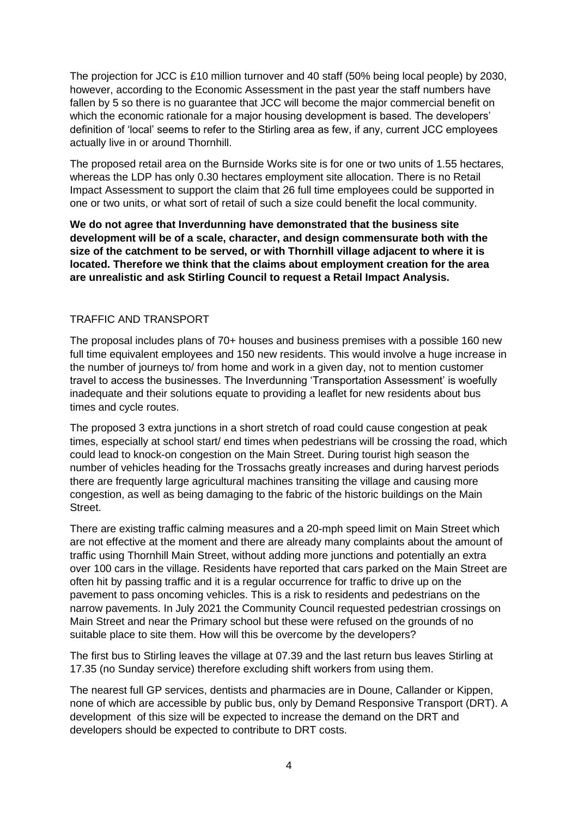The projection for JCC is £10 million turnover and 40 staff (50% being local people) by 2030, however, according to the Economic Assessment in the past year the staff numbers have fallen by 5 so there is no quarantee that JCC will become the major commercial benefit on which the economic rationale for a major housing development is based. The developers' definition of 'local' seems to refer to the Stirling area as few, if any, current JCC employees actually live in or around Thornhill.

The proposed retail area on the Burnside Works site is for one or two units of 1.55 hectares, whereas the LDP has only 0.30 hectares employment site allocation. There is no Retail Impact Assessment to support the claim that 26 full time employees could be supported in one or two units, or what sort of retail of such a size could benefit the local community.

**We do not agree that Inverdunning have demonstrated that the business site development will be of a scale, character, and design commensurate both with the size of the catchment to be served, or with Thornhill village adjacent to where it is located. Therefore we think that the claims about employment creation for the area are unrealistic and ask Stirling Council to request a Retail Impact Analysis.** 

# TRAFFIC AND TRANSPORT

The proposal includes plans of 70+ houses and business premises with a possible 160 new full time equivalent employees and 150 new residents. This would involve a huge increase in the number of journeys to/ from home and work in a given day, not to mention customer travel to access the businesses. The Inverdunning 'Transportation Assessment' is woefully inadequate and their solutions equate to providing a leaflet for new residents about bus times and cycle routes.

The proposed 3 extra junctions in a short stretch of road could cause congestion at peak times, especially at school start/ end times when pedestrians will be crossing the road, which could lead to knock-on congestion on the Main Street. During tourist high season the number of vehicles heading for the Trossachs greatly increases and during harvest periods there are frequently large agricultural machines transiting the village and causing more congestion, as well as being damaging to the fabric of the historic buildings on the Main Street.

There are existing traffic calming measures and a 20-mph speed limit on Main Street which are not effective at the moment and there are already many complaints about the amount of traffic using Thornhill Main Street, without adding more junctions and potentially an extra over 100 cars in the village. Residents have reported that cars parked on the Main Street are often hit by passing traffic and it is a regular occurrence for traffic to drive up on the pavement to pass oncoming vehicles. This is a risk to residents and pedestrians on the narrow pavements. In July 2021 the Community Council requested pedestrian crossings on Main Street and near the Primary school but these were refused on the grounds of no suitable place to site them. How will this be overcome by the developers?

The first bus to Stirling leaves the village at 07.39 and the last return bus leaves Stirling at 17.35 (no Sunday service) therefore excluding shift workers from using them.

The nearest full GP services, dentists and pharmacies are in Doune, Callander or Kippen, none of which are accessible by public bus, only by Demand Responsive Transport (DRT). A development of this size will be expected to increase the demand on the DRT and developers should be expected to contribute to DRT costs.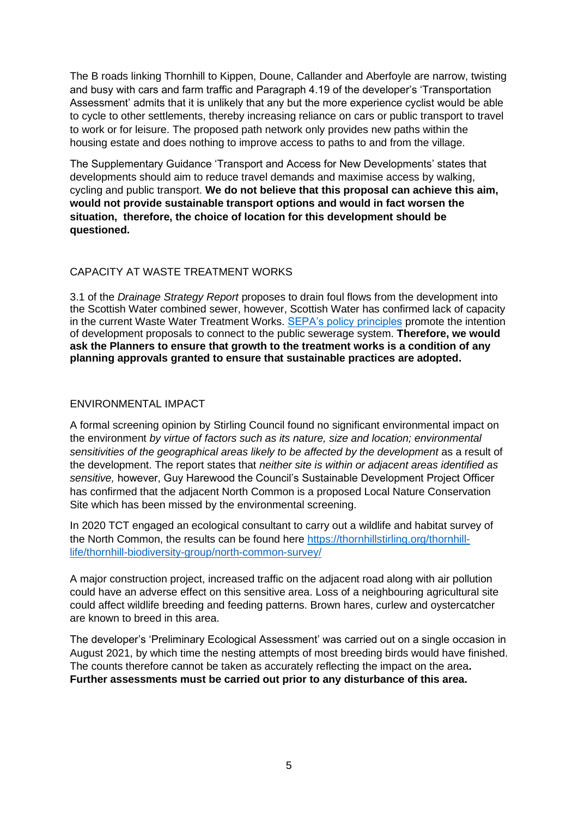The B roads linking Thornhill to Kippen, Doune, Callander and Aberfoyle are narrow, twisting and busy with cars and farm traffic and Paragraph 4.19 of the developer's 'Transportation Assessment' admits that it is unlikely that any but the more experience cyclist would be able to cycle to other settlements, thereby increasing reliance on cars or public transport to travel to work or for leisure. The proposed path network only provides new paths within the housing estate and does nothing to improve access to paths to and from the village.

The Supplementary Guidance 'Transport and Access for New Developments' states that developments should aim to reduce travel demands and maximise access by walking, cycling and public transport. **We do not believe that this proposal can achieve this aim, would not provide sustainable transport options and would in fact worsen the situation, therefore, the choice of location for this development should be questioned.**

## CAPACITY AT WASTE TREATMENT WORKS

3.1 of the *Drainage Strategy Report* proposes to drain foul flows from the development into the Scottish Water combined sewer, however, Scottish Water has confirmed lack of capacity in the current Waste Water Treatment Works. [SEPA's policy principles](https://www.sepa.org.uk/media/90272/wat_ps_06_08_policy_and_supporting_guidance_on_provision_of_waste-water_drianage_in_settlements.pdf) promote the intention of development proposals to connect to the public sewerage system. **Therefore, we would ask the Planners to ensure that growth to the treatment works is a condition of any planning approvals granted to ensure that sustainable practices are adopted.**

## ENVIRONMENTAL IMPACT

A formal screening opinion by Stirling Council found no significant environmental impact on the environment *by virtue of factors such as its nature, size and location; environmental*  sensitivities of the geographical areas likely to be affected by the development as a result of the development. The report states that *neither site is within or adjacent areas identified as sensitive,* however, Guy Harewood the Council's Sustainable Development Project Officer has confirmed that the adjacent North Common is a proposed Local Nature Conservation Site which has been missed by the environmental screening.

In 2020 TCT engaged an ecological consultant to carry out a wildlife and habitat survey of the North Common, the results can be found here [https://thornhillstirling.org/thornhill](https://thornhillstirling.org/thornhill-life/thornhill-biodiversity-group/north-common-survey/)[life/thornhill-biodiversity-group/north-common-survey/](https://thornhillstirling.org/thornhill-life/thornhill-biodiversity-group/north-common-survey/)

A major construction project, increased traffic on the adjacent road along with air pollution could have an adverse effect on this sensitive area. Loss of a neighbouring agricultural site could affect wildlife breeding and feeding patterns. Brown hares, curlew and oystercatcher are known to breed in this area.

The developer's 'Preliminary Ecological Assessment' was carried out on a single occasion in August 2021, by which time the nesting attempts of most breeding birds would have finished. The counts therefore cannot be taken as accurately reflecting the impact on the area**. Further assessments must be carried out prior to any disturbance of this area.**